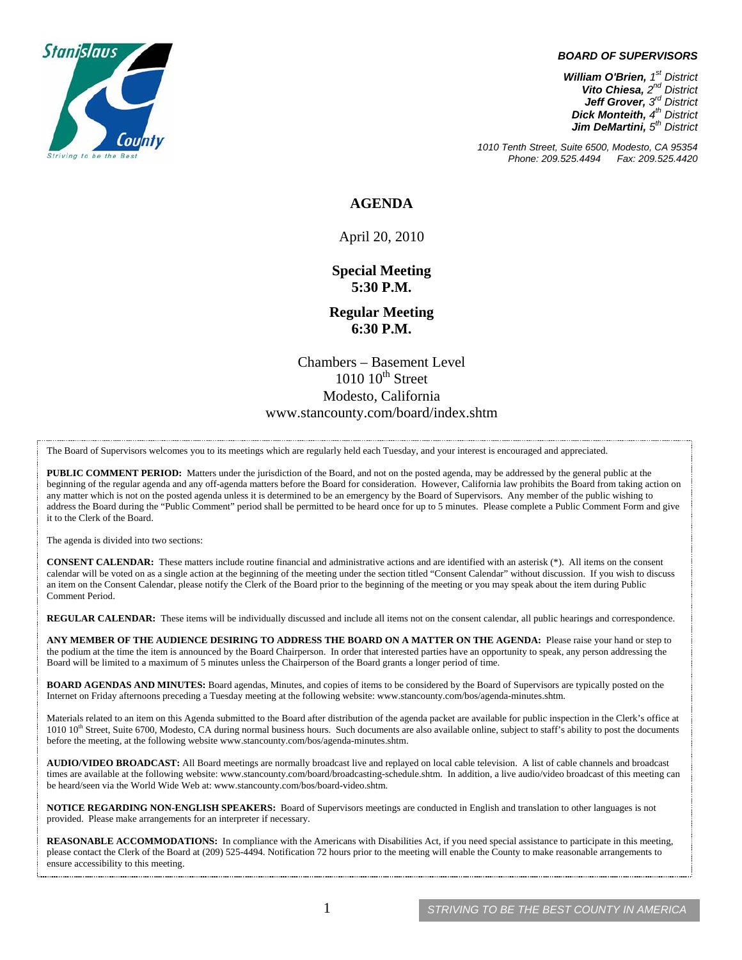

#### *BOARD OF SUPERVISORS*

*William O'Brien, 1st District Vito Chiesa, 2nd District Jeff Grover, 3rd District Dick Monteith, 4th District Jim DeMartini, 5th District*

*1010 Tenth Street, Suite 6500, Modesto, CA 95354 Phone: 209.525.4494* 

### **AGENDA**

April 20, 2010

**Special Meeting 5:30 P.M.** 

**Regular Meeting 6:30 P.M.** 

Chambers – Basement Level  $1010$   $10^{th}$  Street Modesto, California www.stancounty.com/board/index.shtm

The Board of Supervisors welcomes you to its meetings which are regularly held each Tuesday, and your interest is encouraged and appreciated.

**PUBLIC COMMENT PERIOD:** Matters under the jurisdiction of the Board, and not on the posted agenda, may be addressed by the general public at the beginning of the regular agenda and any off-agenda matters before the Board for consideration. However, California law prohibits the Board from taking action on any matter which is not on the posted agenda unless it is determined to be an emergency by the Board of Supervisors. Any member of the public wishing to address the Board during the "Public Comment" period shall be permitted to be heard once for up to 5 minutes. Please complete a Public Comment Form and give it to the Clerk of the Board.

The agenda is divided into two sections:

**CONSENT CALENDAR:** These matters include routine financial and administrative actions and are identified with an asterisk (\*). All items on the consent calendar will be voted on as a single action at the beginning of the meeting under the section titled "Consent Calendar" without discussion. If you wish to discuss an item on the Consent Calendar, please notify the Clerk of the Board prior to the beginning of the meeting or you may speak about the item during Public Comment Period.

**REGULAR CALENDAR:** These items will be individually discussed and include all items not on the consent calendar, all public hearings and correspondence.

**ANY MEMBER OF THE AUDIENCE DESIRING TO ADDRESS THE BOARD ON A MATTER ON THE AGENDA:** Please raise your hand or step to the podium at the time the item is announced by the Board Chairperson. In order that interested parties have an opportunity to speak, any person addressing the Board will be limited to a maximum of 5 minutes unless the Chairperson of the Board grants a longer period of time.

**BOARD AGENDAS AND MINUTES:** Board agendas, Minutes, and copies of items to be considered by the Board of Supervisors are typically posted on the Internet on Friday afternoons preceding a Tuesday meeting at the following website: www.stancounty.com/bos/agenda-minutes.shtm.

Materials related to an item on this Agenda submitted to the Board after distribution of the agenda packet are available for public inspection in the Clerk's office at  $1010$   $10$ <sup>th</sup> Street, Suite 6700, Modesto, CA during normal business hours. Such documents are also available online, subject to staff's ability to post the documents before the meeting, at the following website www.stancounty.com/bos/agenda-minutes.shtm.

**AUDIO/VIDEO BROADCAST:** All Board meetings are normally broadcast live and replayed on local cable television. A list of cable channels and broadcast times are available at the following website: www.stancounty.com/board/broadcasting-schedule.shtm. In addition, a live audio/video broadcast of this meeting can be heard/seen via the World Wide Web at: www.stancounty.com/bos/board-video.shtm.

**NOTICE REGARDING NON-ENGLISH SPEAKERS:** Board of Supervisors meetings are conducted in English and translation to other languages is not provided. Please make arrangements for an interpreter if necessary.

REASONABLE ACCOMMODATIONS: In compliance with the Americans with Disabilities Act, if you need special assistance to participate in this meeting, please contact the Clerk of the Board at (209) 525-4494. Notification 72 hours prior to the meeting will enable the County to make reasonable arrangements to ensure accessibility to this meeting.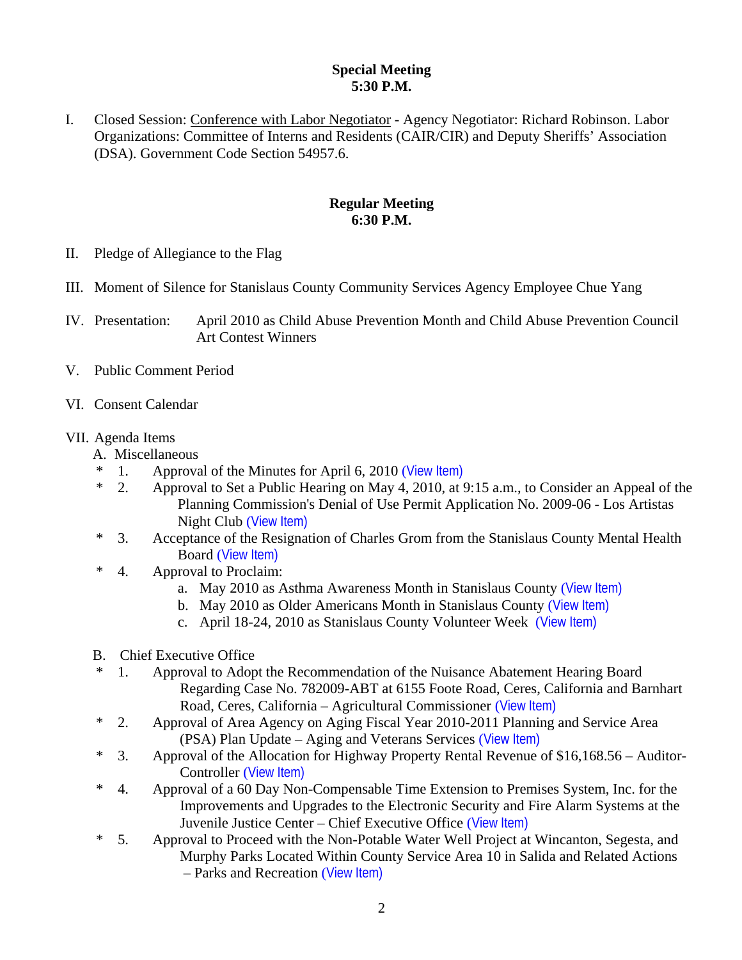# **Special Meeting 5:30 P.M.**

I. Closed Session: Conference with Labor Negotiator - Agency Negotiator: Richard Robinson. Labor Organizations: Committee of Interns and Residents (CAIR/CIR) and Deputy Sheriffs' Association (DSA). Government Code Section 54957.6.

# **Regular Meeting 6:30 P.M.**

- II. Pledge of Allegiance to the Flag
- III. Moment of Silence for Stanislaus County Community Services Agency Employee Chue Yang
- IV. Presentation: April 2010 as Child Abuse Prevention Month and Child Abuse Prevention Council Art Contest Winners
- V. Public Comment Period
- VI. Consent Calendar

## VII. Agenda Items

- A. Miscellaneous
- \* 1. Approval of the Minutes for April 6, 2010 ([View Item\)](http://www.stancounty.com/bos/minutes/2010/min04-06-10.pdf)
- \* 2. Approval to Set a Public Hearing on May 4, 2010, at 9:15 a.m., to Consider an Appeal of the Planning Commission's Denial of Use Permit Application No. 2009-06 - Los Artistas Night Club ([View Item\)](http://www.stancounty.com/bos/agenda/2010/20100420/A02.pdf)
- \* 3. Acceptance of the Resignation of Charles Grom from the Stanislaus County Mental Health Board ([View Item\)](http://www.stancounty.com/bos/agenda/2010/20100420/A03.pdf)
- \* 4. Approval to Proclaim:
	- a. May 2010 as Asthma Awareness Month in Stanislaus County ([View Item\)](http://www.stancounty.com/bos/agenda/2010/20100420/A04a.pdf)
	- b. May 2010 as Older Americans Month in Stanislaus County ([View Item\)](http://www.stancounty.com/bos/agenda/2010/20100420/A04b.pdf)
	- c. April 18-24, 2010 as Stanislaus County Volunteer Week ([View Item\)](http://www.stancounty.com/bos/agenda/2010/20100420/A04c.pdf)
- B. Chief Executive Office
- \* 1. Approval to Adopt the Recommendation of the Nuisance Abatement Hearing Board Regarding Case No. 782009-ABT at 6155 Foote Road, Ceres, California and Barnhart Road, Ceres, California – Agricultural Commissioner ([View Item\)](http://www.stancounty.com/bos/agenda/2010/20100420/B01.pdf)
- \* 2. Approval of Area Agency on Aging Fiscal Year 2010-2011 Planning and Service Area (PSA) Plan Update – Aging and Veterans Services ([View Item\)](http://www.stancounty.com/bos/agenda/2010/20100420/B02.pdf)
- \* 3. Approval of the Allocation for Highway Property Rental Revenue of \$16,168.56 Auditor-Controller ([View Item\)](http://www.stancounty.com/bos/agenda/2010/20100420/B03.pdf)
- \* 4. Approval of a 60 Day Non-Compensable Time Extension to Premises System, Inc. for the Improvements and Upgrades to the Electronic Security and Fire Alarm Systems at the Juvenile Justice Center – Chief Executive Office ([View Item\)](http://www.stancounty.com/bos/agenda/2010/20100420/B04.pdf)
- \* 5. Approval to Proceed with the Non-Potable Water Well Project at Wincanton, Segesta, and Murphy Parks Located Within County Service Area 10 in Salida and Related Actions – Parks and Recreation ([View Item\)](http://www.stancounty.com/bos/agenda/2010/20100420/B05.pdf)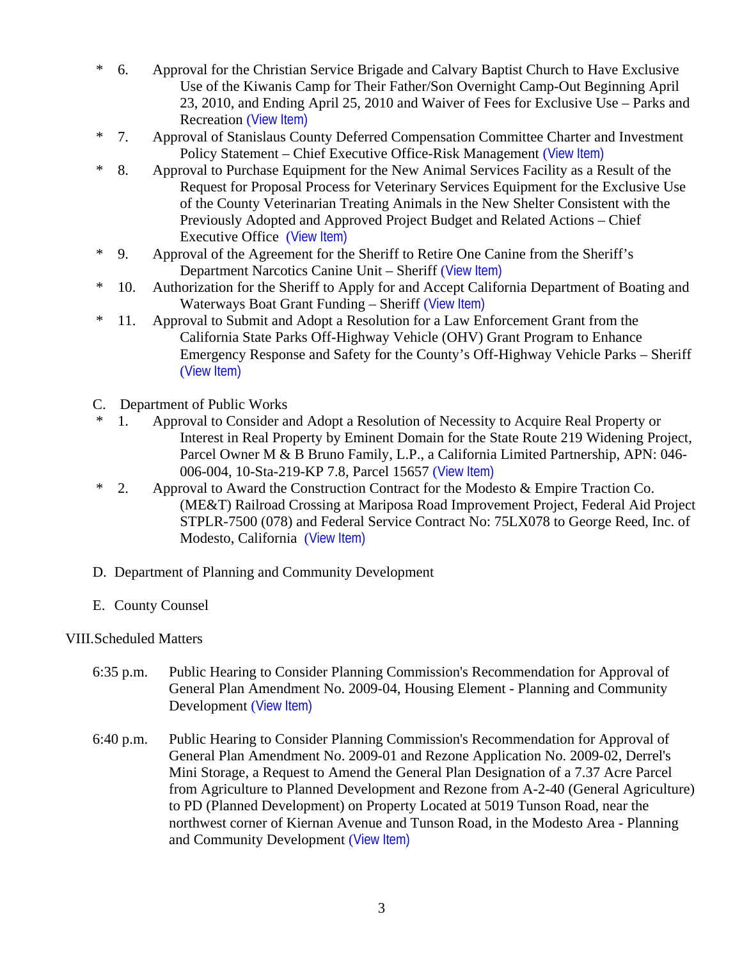- \* 6. Approval for the Christian Service Brigade and Calvary Baptist Church to Have Exclusive Use of the Kiwanis Camp for Their Father/Son Overnight Camp-Out Beginning April 23, 2010, and Ending April 25, 2010 and Waiver of Fees for Exclusive Use – Parks and Recreation ([View Item\)](http://www.stancounty.com/bos/agenda/2010/20100420/B06.pdf)
- \* 7. Approval of Stanislaus County Deferred Compensation Committee Charter and Investment Policy Statement – Chief Executive Office-Risk Management ([View Item\)](http://www.stancounty.com/bos/agenda/2010/20100420/B07.pdf)
- \* 8. Approval to Purchase Equipment for the New Animal Services Facility as a Result of the Request for Proposal Process for Veterinary Services Equipment for the Exclusive Use of the County Veterinarian Treating Animals in the New Shelter Consistent with the Previously Adopted and Approved Project Budget and Related Actions – Chief Executive Office ([View Item\)](http://www.stancounty.com/bos/agenda/2010/20100420/B08.pdf)
- \* 9. Approval of the Agreement for the Sheriff to Retire One Canine from the Sheriff's Department Narcotics Canine Unit – Sheriff ([View Item\)](http://www.stancounty.com/bos/agenda/2010/20100420/B09.pdf)
- \* 10. Authorization for the Sheriff to Apply for and Accept California Department of Boating and Waterways Boat Grant Funding – Sheriff ([View Item\)](http://www.stancounty.com/bos/agenda/2010/20100420/B10.pdf)
- \* 11. Approval to Submit and Adopt a Resolution for a Law Enforcement Grant from the California State Parks Off-Highway Vehicle (OHV) Grant Program to Enhance Emergency Response and Safety for the County's Off-Highway Vehicle Parks – Sheriff ([View Item\)](http://www.stancounty.com/bos/agenda/2010/20100420/B11.pdf)
- C. Department of Public Works
- \* 1. Approval to Consider and Adopt a Resolution of Necessity to Acquire Real Property or Interest in Real Property by Eminent Domain for the State Route 219 Widening Project, Parcel Owner M & B Bruno Family, L.P., a California Limited Partnership, APN: 046- 006-004, 10-Sta-219-KP 7.8, Parcel 15657 ([View Item\)](http://www.stancounty.com/bos/agenda/2010/20100420/C01.pdf)
- \* 2. Approval to Award the Construction Contract for the Modesto & Empire Traction Co. (ME&T) Railroad Crossing at Mariposa Road Improvement Project, Federal Aid Project STPLR-7500 (078) and Federal Service Contract No: 75LX078 to George Reed, Inc. of Modesto, California ([View Item\)](http://www.stancounty.com/bos/agenda/2010/20100420/C02.pdf)
- D. Department of Planning and Community Development
- E. County Counsel

# VIII.Scheduled Matters

- 6:35 p.m. Public Hearing to Consider Planning Commission's Recommendation for Approval of General Plan Amendment No. 2009-04, Housing Element - Planning and Community Development ([View Item\)](http://www.stancounty.com/bos/agenda/2010/20100420/PH635.pdf)
- 6:40 p.m. Public Hearing to Consider Planning Commission's Recommendation for Approval of General Plan Amendment No. 2009-01 and Rezone Application No. 2009-02, Derrel's Mini Storage, a Request to Amend the General Plan Designation of a 7.37 Acre Parcel from Agriculture to Planned Development and Rezone from A-2-40 (General Agriculture) to PD (Planned Development) on Property Located at 5019 Tunson Road, near the northwest corner of Kiernan Avenue and Tunson Road, in the Modesto Area - Planning and Community Development ([View Item\)](http://www.stancounty.com/bos/agenda/2010/20100420/PH640.pdf)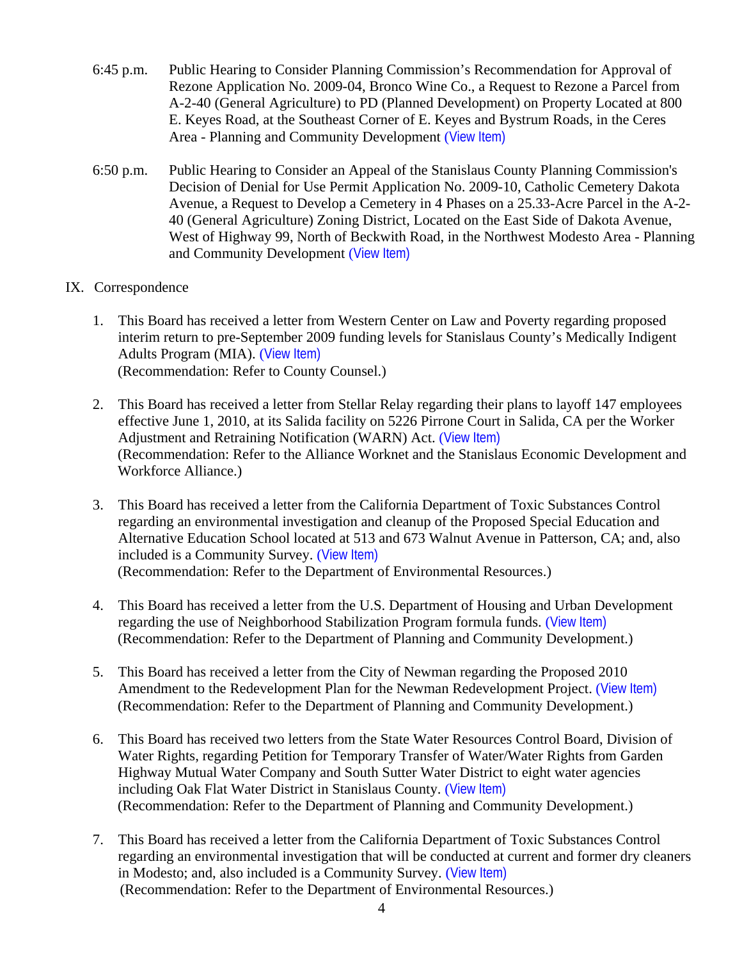- 6:45 p.m. Public Hearing to Consider Planning Commission's Recommendation for Approval of Rezone Application No. 2009-04, Bronco Wine Co., a Request to Rezone a Parcel from A-2-40 (General Agriculture) to PD (Planned Development) on Property Located at 800 E. Keyes Road, at the Southeast Corner of E. Keyes and Bystrum Roads, in the Ceres Area - Planning and Community Development ([View Item\)](http://www.stancounty.com/bos/agenda/2010/20100420/PH645.pdf)
- 6:50 p.m. Public Hearing to Consider an Appeal of the Stanislaus County Planning Commission's Decision of Denial for Use Permit Application No. 2009-10, Catholic Cemetery Dakota Avenue, a Request to Develop a Cemetery in 4 Phases on a 25.33-Acre Parcel in the A-2- 40 (General Agriculture) Zoning District, Located on the East Side of Dakota Avenue, West of Highway 99, North of Beckwith Road, in the Northwest Modesto Area - Planning and Community Development ([View Item\)](http://www.stancounty.com/bos/agenda/2010/20100420/PH650.pdf)

# IX. Correspondence

- 1. This Board has received a letter from Western Center on Law and Poverty regarding proposed interim return to pre-September 2009 funding levels for Stanislaus County's Medically Indigent Adults Program (MIA). ([View Item\)](http://www.stancounty.com/bos/agenda/2010/20100420/Corr01.pdf) (Recommendation: Refer to County Counsel.)
- 2. This Board has received a letter from Stellar Relay regarding their plans to layoff 147 employees effective June 1, 2010, at its Salida facility on 5226 Pirrone Court in Salida, CA per the Worker Adjustment and Retraining Notification (WARN) Act. ([View Item\)](http://www.stancounty.com/bos/agenda/2010/20100420/Corr02.pdf) (Recommendation: Refer to the Alliance Worknet and the Stanislaus Economic Development and Workforce Alliance.)
- 3. This Board has received a letter from the California Department of Toxic Substances Control regarding an environmental investigation and cleanup of the Proposed Special Education and Alternative Education School located at 513 and 673 Walnut Avenue in Patterson, CA; and, also included is a Community Survey. ([View Item\)](http://www.stancounty.com/bos/agenda/2010/20100420/Corr03.pdf) (Recommendation: Refer to the Department of Environmental Resources.)
- 4. This Board has received a letter from the U.S. Department of Housing and Urban Development regarding the use of Neighborhood Stabilization Program formula funds. ([View Item\)](http://www.stancounty.com/bos/agenda/2010/20100420/Corr04.pdf) (Recommendation: Refer to the Department of Planning and Community Development.)
- 5. This Board has received a letter from the City of Newman regarding the Proposed 2010 Amendment to the Redevelopment Plan for the Newman Redevelopment Project. ([View Item\)](http://www.stancounty.com/bos/agenda/2010/20100420/Corr05.pdf) (Recommendation: Refer to the Department of Planning and Community Development.)
- 6. This Board has received two letters from the State Water Resources Control Board, Division of Water Rights, regarding Petition for Temporary Transfer of Water/Water Rights from Garden Highway Mutual Water Company and South Sutter Water District to eight water agencies including Oak Flat Water District in Stanislaus County. ([View Item\)](http://www.stancounty.com/bos/agenda/2010/20100420/Corr06.pdf) (Recommendation: Refer to the Department of Planning and Community Development.)
- 7. This Board has received a letter from the California Department of Toxic Substances Control regarding an environmental investigation that will be conducted at current and former dry cleaners in Modesto; and, also included is a Community Survey. ([View Item\)](http://www.stancounty.com/bos/agenda/2010/20100420/Corr07.pdf) (Recommendation: Refer to the Department of Environmental Resources.)